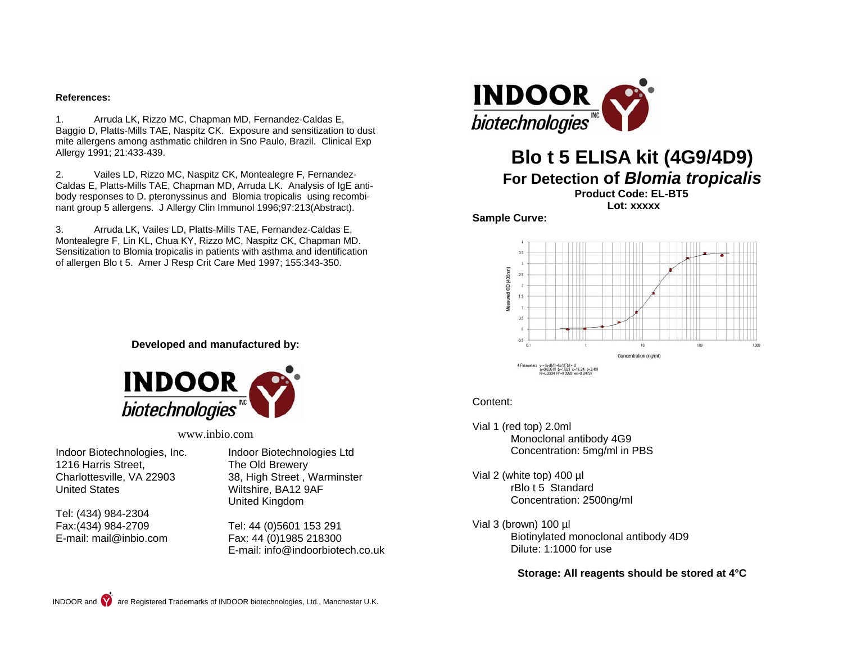#### **References:**

1. Arruda LK, Rizzo MC, Chapman MD, Fernandez-Caldas E, Baggio D, Platts-Mills TAE, Naspitz CK. Exposure and sensitization to dust mite allergens among asthmatic children in Sno Paulo, Brazil. Clinical Exp Allergy 1991; 21:433-439.

2. Vailes LD, Rizzo MC, Naspitz CK, Montealegre F, Fernandez-Caldas E, Platts-Mills TAE, Chapman MD, Arruda LK. Analysis of IgE antibody responses to D. pteronyssinus and Blomia tropicalis using recombinant group 5 allergens. J Allergy Clin Immunol 1996;97:213(Abstract).

3. Arruda LK, Vailes LD, Platts-Mills TAE, Fernandez-Caldas E, Montealegre F, Lin KL, Chua KY, Rizzo MC, Naspitz CK, Chapman MD. Sensitization to Blomia tropicalis in patients with asthma and identification of allergen Blo t 5. Amer J Resp Crit Care Med 1997; 155:343-350.



# **Blo t 5 ELISA kit (4G9/4D9)**

# **For Detection of** *Blomia tropicalis*

**Product Code: EL-BT5** 

 **Lot: xxxxx** 

**Sample Curve:** 



#### Content:

Vial 1 (red top) 2.0ml Monoclonal antibody 4G9 Concentration: 5mg/ml in PBS

Vial 2 (white top) 400 µl rBlo t 5 Standard Concentration: 2500ng/ml

Vial 3 (brown) 100 µl Biotinylated monoclonal antibody 4D9 Dilute: 1:1000 for use

#### **Storage: All reagents should be stored at 4°C**

**Developed and manufactured by:**



#### www.inbio.com

Indoor Biotechnologies, Inc. 1216 Harris Street, Charlottesville, VA 22903 United States

Tel: (434) 984-2304 Fax:(434) 984-2709 E-mail: mail@inbio.com Indoor Biotechnologies Ltd The Old Brewery 38, High Street , Warminster Wiltshire, BA12 9AF United Kingdom

Tel: 44 (0)5601 153 291 Fax: 44 (0)1985 218300 E-mail: info@indoorbiotech.co.uk